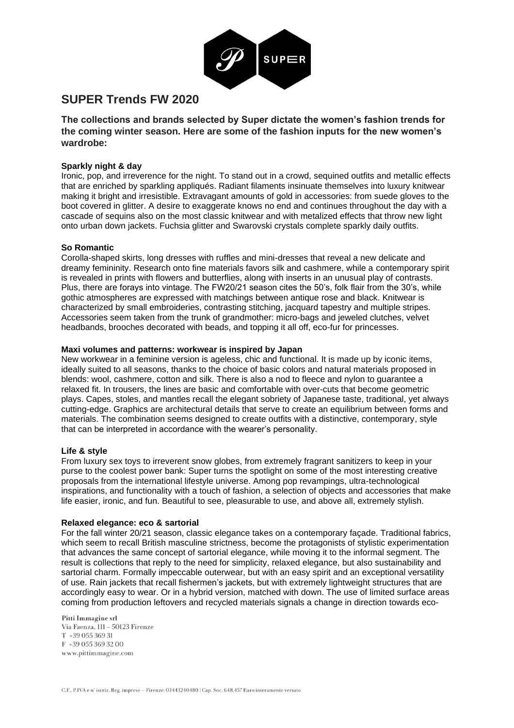

# **SUPER Trends FW 2020**

**The collections and brands selected by Super dictate the women's fashion trends for the coming winter season. Here are some of the fashion inputs for the new women's wardrobe:** 

#### **Sparkly night & day**

Ironic, pop, and irreverence for the night. To stand out in a crowd, sequined outfits and metallic effects that are enriched by sparkling appliqués. Radiant filaments insinuate themselves into luxury knitwear making it bright and irresistible. Extravagant amounts of gold in accessories: from suede gloves to the boot covered in glitter. A desire to exaggerate knows no end and continues throughout the day with a cascade of sequins also on the most classic knitwear and with metalized effects that throw new light onto urban down jackets. Fuchsia glitter and Swarovski crystals complete sparkly daily outfits.

#### **So Romantic**

Corolla-shaped skirts, long dresses with ruffles and mini-dresses that reveal a new delicate and dreamy femininity. Research onto fine materials favors silk and cashmere, while a contemporary spirit is revealed in prints with flowers and butterflies, along with inserts in an unusual play of contrasts. Plus, there are forays into vintage. The FW20/21 season cites the 50's, folk flair from the 30's, while gothic atmospheres are expressed with matchings between antique rose and black. Knitwear is characterized by small embroideries, contrasting stitching, jacquard tapestry and multiple stripes. Accessories seem taken from the trunk of grandmother: micro-bags and jeweled clutches, velvet headbands, brooches decorated with beads, and topping it all off, eco-fur for princesses.

#### **Maxi volumes and patterns: workwear is inspired by Japan**

New workwear in a feminine version is ageless, chic and functional. It is made up by iconic items, ideally suited to all seasons, thanks to the choice of basic colors and natural materials proposed in blends: wool, cashmere, cotton and silk. There is also a nod to fleece and nylon to guarantee a relaxed fit. In trousers, the lines are basic and comfortable with over-cuts that become geometric plays. Capes, stoles, and mantles recall the elegant sobriety of Japanese taste, traditional, yet always cutting-edge. Graphics are architectural details that serve to create an equilibrium between forms and materials. The combination seems designed to create outfits with a distinctive, contemporary, style that can be interpreted in accordance with the wearer's personality.

#### **Life & style**

From luxury sex toys to irreverent snow globes, from extremely fragrant sanitizers to keep in your purse to the coolest power bank: Super turns the spotlight on some of the most interesting creative proposals from the international lifestyle universe. Among pop revampings, ultra-technological inspirations, and functionality with a touch of fashion, a selection of objects and accessories that make life easier, ironic, and fun. Beautiful to see, pleasurable to use, and above all, extremely stylish.

#### **Relaxed elegance: eco & sartorial**

For the fall winter 20/21 season, classic elegance takes on a contemporary façade. Traditional fabrics, which seem to recall British masculine strictness, become the protagonists of stylistic experimentation that advances the same concept of sartorial elegance, while moving it to the informal segment. The result is collections that reply to the need for simplicity, relaxed elegance, but also sustainability and sartorial charm. Formally impeccable outerwear, but with an easy spirit and an exceptional versatility of use. Rain jackets that recall fishermen's jackets, but with extremely lightweight structures that are accordingly easy to wear. Or in a hybrid version, matched with down. The use of limited surface areas coming from production leftovers and recycled materials signals a change in direction towards eco-

Pitti Immagine srl Via Faenza, 111 - 50123 Firenze T +39 055 369 31  $F +390553693200$ <br>www.pittimmagine.com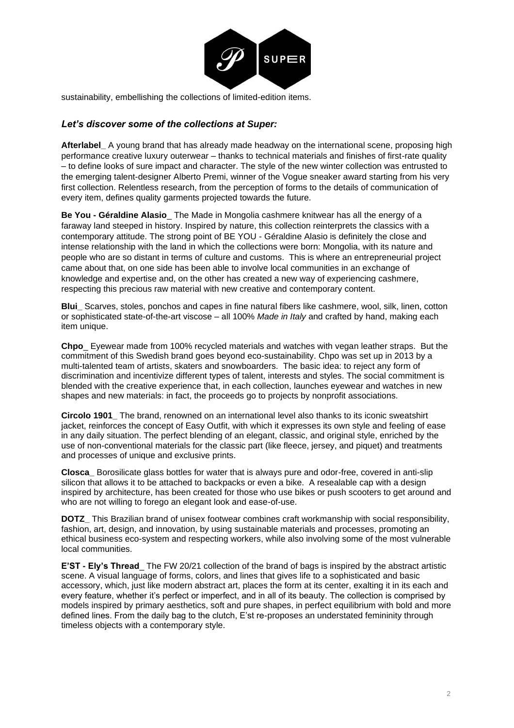

sustainability, embellishing the collections of limited-edition items.

### *Let's discover some of the collections at Super:*

**Afterlabel\_** A young brand that has already made headway on the international scene, proposing high performance creative luxury outerwear – thanks to technical materials and finishes of first-rate quality – to define looks of sure impact and character. The style of the new winter collection was entrusted to the emerging talent-designer Alberto Premi, winner of the Vogue sneaker award starting from his very first collection. Relentless research, from the perception of forms to the details of communication of every item, defines quality garments projected towards the future.

**Be You - Géraldine Alasio**\_ The Made in Mongolia cashmere knitwear has all the energy of a faraway land steeped in history. Inspired by nature, this collection reinterprets the classics with a contemporary attitude. The strong point of BE YOU - Géraldine Alasio is definitely the close and intense relationship with the land in which the collections were born: Mongolia, with its nature and people who are so distant in terms of culture and customs. This is where an entrepreneurial project came about that, on one side has been able to involve local communities in an exchange of knowledge and expertise and, on the other has created a new way of experiencing cashmere, respecting this precious raw material with new creative and contemporary content.

**Blui\_** Scarves, stoles, ponchos and capes in fine natural fibers like cashmere, wool, silk, linen, cotton or sophisticated state-of-the-art viscose – all 100% *Made in Italy* and crafted by hand, making each item unique.

**Chpo**\_ Eyewear made from 100% recycled materials and watches with vegan leather straps. But the commitment of this Swedish brand goes beyond eco-sustainability. Chpo was set up in 2013 by a multi-talented team of artists, skaters and snowboarders. The basic idea: to reject any form of discrimination and incentivize different types of talent, interests and styles. The social commitment is blended with the creative experience that, in each collection, launches eyewear and watches in new shapes and new materials: in fact, the proceeds go to projects by nonprofit associations.

**Circolo 1901\_** The brand, renowned on an international level also thanks to its iconic sweatshirt jacket, reinforces the concept of Easy Outfit, with which it expresses its own style and feeling of ease in any daily situation. The perfect blending of an elegant, classic, and original style, enriched by the use of non-conventional materials for the classic part (like fleece, jersey, and piquet) and treatments and processes of unique and exclusive prints.

**Closca\_** Borosilicate glass bottles for water that is always pure and odor-free, covered in anti-slip silicon that allows it to be attached to backpacks or even a bike. A resealable cap with a design inspired by architecture, has been created for those who use bikes or push scooters to get around and who are not willing to forego an elegant look and ease-of-use.

**DOTZ\_** This Brazilian brand of unisex footwear combines craft workmanship with social responsibility, fashion, art, design, and innovation, by using sustainable materials and processes, promoting an ethical business eco-system and respecting workers, while also involving some of the most vulnerable local communities.

**E'ST - Ely's Thread**\_ The FW 20/21 collection of the brand of bags is inspired by the abstract artistic scene. A visual language of forms, colors, and lines that gives life to a sophisticated and basic accessory, which, just like modern abstract art, places the form at its center, exalting it in its each and every feature, whether it's perfect or imperfect, and in all of its beauty. The collection is comprised by models inspired by primary aesthetics, soft and pure shapes, in perfect equilibrium with bold and more defined lines. From the daily bag to the clutch, E'st re-proposes an understated femininity through timeless objects with a contemporary style.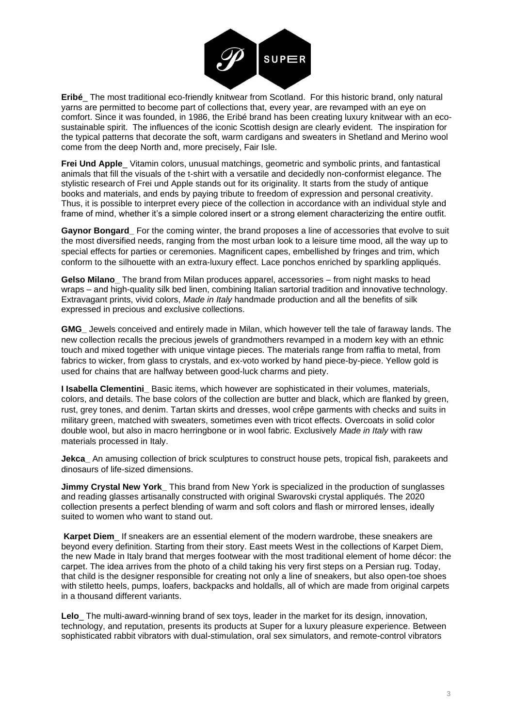

**Eribé**\_ The most traditional eco-friendly knitwear from Scotland. For this historic brand, only natural yarns are permitted to become part of collections that, every year, are revamped with an eye on comfort. Since it was founded, in 1986, the Eribé brand has been creating luxury knitwear with an ecosustainable spirit. The influences of the iconic Scottish design are clearly evident. The inspiration for the typical patterns that decorate the soft, warm cardigans and sweaters in Shetland and Merino wool come from the deep North and, more precisely, Fair Isle.

**Frei Und Apple**\_ Vitamin colors, unusual matchings, geometric and symbolic prints, and fantastical animals that fill the visuals of the t-shirt with a versatile and decidedly non-conformist elegance. The stylistic research of Frei und Apple stands out for its originality. It starts from the study of antique books and materials, and ends by paying tribute to freedom of expression and personal creativity. Thus, it is possible to interpret every piece of the collection in accordance with an individual style and frame of mind, whether it's a simple colored insert or a strong element characterizing the entire outfit.

**Gaynor Bongard\_** For the coming winter, the brand proposes a line of accessories that evolve to suit the most diversified needs, ranging from the most urban look to a leisure time mood, all the way up to special effects for parties or ceremonies. Magnificent capes, embellished by fringes and trim, which conform to the silhouette with an extra-luxury effect. Lace ponchos enriched by sparkling appliqués.

**Gelso Milano\_** The brand from Milan produces apparel, accessories – from night masks to head wraps – and high-quality silk bed linen, combining Italian sartorial tradition and innovative technology. Extravagant prints, vivid colors, *Made in Italy* handmade production and all the benefits of silk expressed in precious and exclusive collections.

**GMG\_** Jewels conceived and entirely made in Milan, which however tell the tale of faraway lands. The new collection recalls the precious jewels of grandmothers revamped in a modern key with an ethnic touch and mixed together with unique vintage pieces. The materials range from raffia to metal, from fabrics to wicker, from glass to crystals, and ex-voto worked by hand piece-by-piece. Yellow gold is used for chains that are halfway between good-luck charms and piety.

**I Isabella Clementini** Basic items, which however are sophisticated in their volumes, materials, colors, and details. The base colors of the collection are butter and black, which are flanked by green, rust, grey tones, and denim. Tartan skirts and dresses, wool crêpe garments with checks and suits in military green, matched with sweaters, sometimes even with tricot effects. Overcoats in solid color double wool, but also in macro herringbone or in wool fabric. Exclusively *Made in Italy* with raw materials processed in Italy.

**Jekca** An amusing collection of brick sculptures to construct house pets, tropical fish, parakeets and dinosaurs of life-sized dimensions.

**Jimmy Crystal New York\_** This brand from New York is specialized in the production of sunglasses and reading glasses artisanally constructed with original Swarovski crystal appliqués. The 2020 collection presents a perfect blending of warm and soft colors and flash or mirrored lenses, ideally suited to women who want to stand out.

**Karpet Diem** If sneakers are an essential element of the modern wardrobe, these sneakers are beyond every definition. Starting from their story. East meets West in the collections of Karpet Diem, the new Made in Italy brand that merges footwear with the most traditional element of home décor: the carpet. The idea arrives from the photo of a child taking his very first steps on a Persian rug. Today, that child is the designer responsible for creating not only a line of sneakers, but also open-toe shoes with stiletto heels, pumps, loafers, backpacks and holdalls, all of which are made from original carpets in a thousand different variants.

Lelo The multi-award-winning brand of sex toys, leader in the market for its design, innovation, technology, and reputation, presents its products at Super for a luxury pleasure experience. Between sophisticated rabbit vibrators with dual-stimulation, oral sex simulators, and remote-control vibrators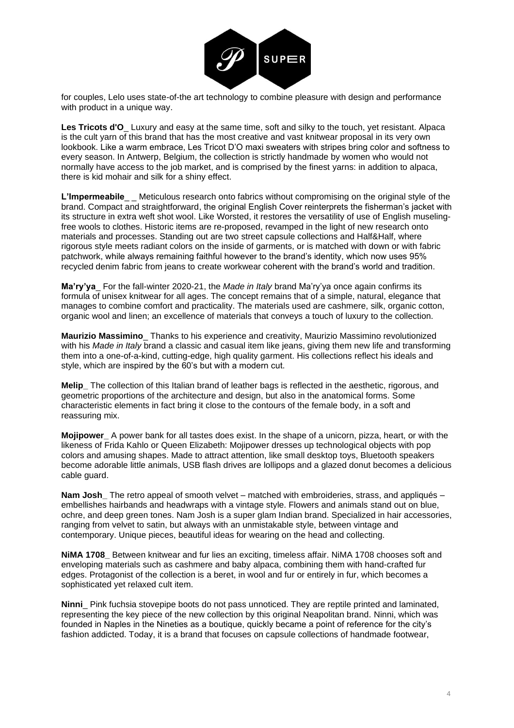

for couples, Lelo uses state-of-the art technology to combine pleasure with design and performance with product in a unique way.

**Les Tricots d'O**\_ Luxury and easy at the same time, soft and silky to the touch, yet resistant. Alpaca is the cult yarn of this brand that has the most creative and vast knitwear proposal in its very own lookbook. Like a warm embrace, Les Tricot D'O maxi sweaters with stripes bring color and softness to every season. In Antwerp, Belgium, the collection is strictly handmade by women who would not normally have access to the job market, and is comprised by the finest yarns: in addition to alpaca, there is kid mohair and silk for a shiny effect.

**L'Impermeabile** Meticulous research onto fabrics without compromising on the original style of the brand. Compact and straightforward, the original English Cover reinterprets the fisherman's jacket with its structure in extra weft shot wool. Like Worsted, it restores the versatility of use of English muselingfree wools to clothes. Historic items are re-proposed, revamped in the light of new research onto materials and processes. Standing out are two street capsule collections and Half&Half, where rigorous style meets radiant colors on the inside of garments, or is matched with down or with fabric patchwork, while always remaining faithful however to the brand's identity, which now uses 95% recycled denim fabric from jeans to create workwear coherent with the brand's world and tradition.

**Ma'ry'ya**\_ For the fall-winter 2020-21, the *Made in Italy* brand Ma'ry'ya once again confirms its formula of unisex knitwear for all ages. The concept remains that of a simple, natural, elegance that manages to combine comfort and practicality. The materials used are cashmere, silk, organic cotton, organic wool and linen; an excellence of materials that conveys a touch of luxury to the collection.

**Maurizio Massimino**\_ Thanks to his experience and creativity, Maurizio Massimino revolutionized with his *Made in Italy* brand a classic and casual item like jeans, giving them new life and transforming them into a one-of-a-kind, cutting-edge, high quality garment. His collections reflect his ideals and style, which are inspired by the 60's but with a modern cut.

**Melip** The collection of this Italian brand of leather bags is reflected in the aesthetic, rigorous, and geometric proportions of the architecture and design, but also in the anatomical forms. Some characteristic elements in fact bring it close to the contours of the female body, in a soft and reassuring mix.

**Mojipower\_** A power bank for all tastes does exist. In the shape of a unicorn, pizza, heart, or with the likeness of Frida Kahlo or Queen Elizabeth: Mojipower dresses up technological objects with pop colors and amusing shapes. Made to attract attention, like small desktop toys, Bluetooth speakers become adorable little animals, USB flash drives are lollipops and a glazed donut becomes a delicious cable guard.

**Nam Josh** The retro appeal of smooth velvet – matched with embroideries, strass, and appliqués – embellishes hairbands and headwraps with a vintage style. Flowers and animals stand out on blue, ochre, and deep green tones. Nam Josh is a super glam Indian brand. Specialized in hair accessories, ranging from velvet to satin, but always with an unmistakable style, between vintage and contemporary. Unique pieces, beautiful ideas for wearing on the head and collecting.

**NiMA 1708\_** Between knitwear and fur lies an exciting, timeless affair. NiMA 1708 chooses soft and enveloping materials such as cashmere and baby alpaca, combining them with hand-crafted fur edges. Protagonist of the collection is a beret, in wool and fur or entirely in fur, which becomes a sophisticated yet relaxed cult item.

**Ninni**\_ Pink fuchsia stovepipe boots do not pass unnoticed. They are reptile printed and laminated, representing the key piece of the new collection by this original Neapolitan brand. Ninni, which was founded in Naples in the Nineties as a boutique, quickly became a point of reference for the city's fashion addicted. Today, it is a brand that focuses on capsule collections of handmade footwear,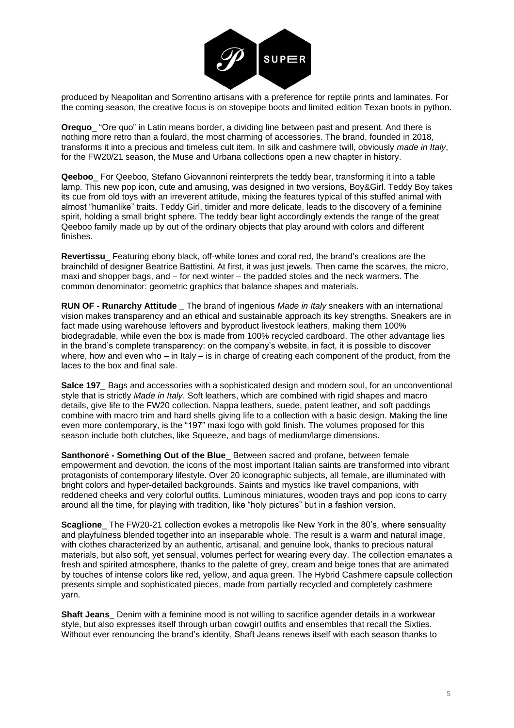

produced by Neapolitan and Sorrentino artisans with a preference for reptile prints and laminates. For the coming season, the creative focus is on stovepipe boots and limited edition Texan boots in python.

**Orequo**\_ "Ore quo" in Latin means border, a dividing line between past and present. And there is nothing more retro than a foulard, the most charming of accessories. The brand, founded in 2018, transforms it into a precious and timeless cult item. In silk and cashmere twill, obviously *made in Italy*, for the FW20/21 season, the Muse and Urbana collections open a new chapter in history.

**Qeeboo**\_ For Qeeboo, Stefano Giovannoni reinterprets the teddy bear, transforming it into a table lamp. This new pop icon, cute and amusing, was designed in two versions, Boy&Girl. Teddy Boy takes its cue from old toys with an irreverent attitude, mixing the features typical of this stuffed animal with almost "humanlike" traits. Teddy Girl, timider and more delicate, leads to the discovery of a feminine spirit, holding a small bright sphere. The teddy bear light accordingly extends the range of the great Qeeboo family made up by out of the ordinary objects that play around with colors and different finishes.

**Revertissu**\_ Featuring ebony black, off-white tones and coral red, the brand's creations are the brainchild of designer Beatrice Battistini. At first, it was just jewels. Then came the scarves, the micro, maxi and shopper bags, and – for next winter – the padded stoles and the neck warmers. The common denominator: geometric graphics that balance shapes and materials.

**RUN OF - Runarchy Attitude \_** The brand of ingenious *Made in Italy* sneakers with an international vision makes transparency and an ethical and sustainable approach its key strengths. Sneakers are in fact made using warehouse leftovers and byproduct livestock leathers, making them 100% biodegradable, while even the box is made from 100% recycled cardboard. The other advantage lies in the brand's complete transparency: on the company's website, in fact, it is possible to discover where, how and even who – in Italy – is in charge of creating each component of the product, from the laces to the box and final sale.

**Salce 197** Bags and accessories with a sophisticated design and modern soul, for an unconventional style that is strictly *Made in Italy*. Soft leathers, which are combined with rigid shapes and macro details, give life to the FW20 collection. Nappa leathers, suede, patent leather, and soft paddings combine with macro trim and hard shells giving life to a collection with a basic design. Making the line even more contemporary, is the "197" maxi logo with gold finish. The volumes proposed for this season include both clutches, like Squeeze, and bags of medium/large dimensions.

**Santhonoré - Something Out of the Blue**\_ Between sacred and profane, between female empowerment and devotion, the icons of the most important Italian saints are transformed into vibrant protagonists of contemporary lifestyle. Over 20 iconographic subjects, all female, are illuminated with bright colors and hyper-detailed backgrounds. Saints and mystics like travel companions, with reddened cheeks and very colorful outfits. Luminous miniatures, wooden trays and pop icons to carry around all the time, for playing with tradition, like "holy pictures" but in a fashion version.

**Scaglione**\_ The FW20-21 collection evokes a metropolis like New York in the 80's, where sensuality and playfulness blended together into an inseparable whole. The result is a warm and natural image, with clothes characterized by an authentic, artisanal, and genuine look, thanks to precious natural materials, but also soft, yet sensual, volumes perfect for wearing every day. The collection emanates a fresh and spirited atmosphere, thanks to the palette of grey, cream and beige tones that are animated by touches of intense colors like red, yellow, and aqua green. The Hybrid Cashmere capsule collection presents simple and sophisticated pieces, made from partially recycled and completely cashmere yarn.

**Shaft Jeans** Denim with a feminine mood is not willing to sacrifice agender details in a workwear style, but also expresses itself through urban cowgirl outfits and ensembles that recall the Sixties. Without ever renouncing the brand's identity, Shaft Jeans renews itself with each season thanks to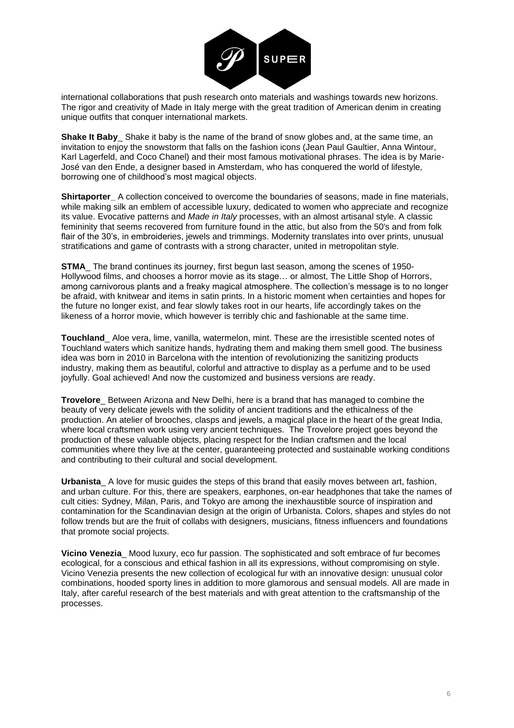

international collaborations that push research onto materials and washings towards new horizons. The rigor and creativity of Made in Italy merge with the great tradition of American denim in creating unique outfits that conquer international markets.

**Shake It Baby**\_ Shake it baby is the name of the brand of snow globes and, at the same time, an invitation to enjoy the snowstorm that falls on the fashion icons (Jean Paul Gaultier, Anna Wintour, Karl Lagerfeld, and Coco Chanel) and their most famous motivational phrases. The idea is by Marie-José van den Ende, a designer based in Amsterdam, who has conquered the world of lifestyle, borrowing one of childhood's most magical objects.

**Shirtaporter** A collection conceived to overcome the boundaries of seasons, made in fine materials, while making silk an emblem of accessible luxury, dedicated to women who appreciate and recognize its value. Evocative patterns and *Made in Italy* processes, with an almost artisanal style. A classic femininity that seems recovered from furniture found in the attic, but also from the 50's and from folk flair of the 30's, in embroideries, jewels and trimmings. Modernity translates into over prints, unusual stratifications and game of contrasts with a strong character, united in metropolitan style.

**STMA**\_ The brand continues its journey, first begun last season, among the scenes of 1950- Hollywood films, and chooses a horror movie as its stage… or almost, The Little Shop of Horrors, among carnivorous plants and a freaky magical atmosphere. The collection's message is to no longer be afraid, with knitwear and items in satin prints. In a historic moment when certainties and hopes for the future no longer exist, and fear slowly takes root in our hearts, life accordingly takes on the likeness of a horror movie, which however is terribly chic and fashionable at the same time.

**Touchland**\_ Aloe vera, lime, vanilla, watermelon, mint. These are the irresistible scented notes of Touchland waters which sanitize hands, hydrating them and making them smell good. The business idea was born in 2010 in Barcelona with the intention of revolutionizing the sanitizing products industry, making them as beautiful, colorful and attractive to display as a perfume and to be used joyfully. Goal achieved! And now the customized and business versions are ready.

**Trovelore**\_ Between Arizona and New Delhi, here is a brand that has managed to combine the beauty of very delicate jewels with the solidity of ancient traditions and the ethicalness of the production. An atelier of brooches, clasps and jewels, a magical place in the heart of the great India, where local craftsmen work using very ancient techniques. The Trovelore project goes beyond the production of these valuable objects, placing respect for the Indian craftsmen and the local communities where they live at the center, guaranteeing protected and sustainable working conditions and contributing to their cultural and social development.

**Urbanista**\_ A love for music guides the steps of this brand that easily moves between art, fashion, and urban culture. For this, there are speakers, earphones, on-ear headphones that take the names of cult cities: Sydney, Milan, Paris, and Tokyo are among the inexhaustible source of inspiration and contamination for the Scandinavian design at the origin of Urbanista. Colors, shapes and styles do not follow trends but are the fruit of collabs with designers, musicians, fitness influencers and foundations that promote social projects.

**Vicino Venezia**\_ Mood luxury, eco fur passion. The sophisticated and soft embrace of fur becomes ecological, for a conscious and ethical fashion in all its expressions, without compromising on style. Vicino Venezia presents the new collection of ecological fur with an innovative design: unusual color combinations, hooded sporty lines in addition to more glamorous and sensual models. All are made in Italy, after careful research of the best materials and with great attention to the craftsmanship of the processes.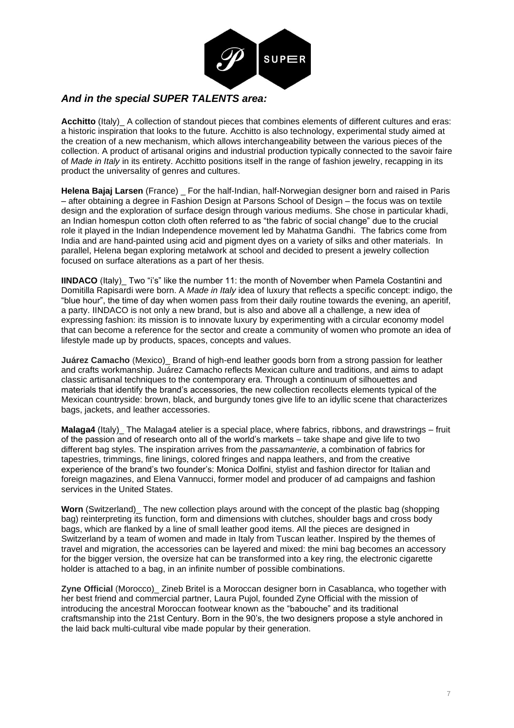

## *And in the special SUPER TALENTS area:*

Acchitto (Italy) A collection of standout pieces that combines elements of different cultures and eras: a historic inspiration that looks to the future. Acchitto is also technology, experimental study aimed at the creation of a new mechanism, which allows interchangeability between the various pieces of the collection. A product of artisanal origins and industrial production typically connected to the savoir faire of *Made in Italy* in its entirety. Acchitto positions itself in the range of fashion jewelry, recapping in its product the universality of genres and cultures.

**Helena Bajaj Larsen** (France) \_ For the half-Indian, half-Norwegian designer born and raised in Paris – after obtaining a degree in Fashion Design at Parsons School of Design – the focus was on textile design and the exploration of surface design through various mediums. She chose in particular khadi, an Indian homespun cotton cloth often referred to as "the fabric of social change" due to the crucial role it played in the Indian Independence movement led by Mahatma Gandhi. The fabrics come from India and are hand-painted using acid and pigment dyes on a variety of silks and other materials. In parallel, Helena began exploring metalwork at school and decided to present a jewelry collection focused on surface alterations as a part of her thesis.

**IINDACO** (Italy) Two "i's" like the number 11: the month of November when Pamela Costantini and Domitilla Rapisardi were born. A *Made in Italy* idea of luxury that reflects a specific concept: indigo, the "blue hour", the time of day when women pass from their daily routine towards the evening, an aperitif, a party. IINDACO is not only a new brand, but is also and above all a challenge, a new idea of expressing fashion: its mission is to innovate luxury by experimenting with a circular economy model that can become a reference for the sector and create a community of women who promote an idea of lifestyle made up by products, spaces, concepts and values.

**Juárez Camacho** (Mexico)\_ Brand of high-end leather goods born from a strong passion for leather and crafts workmanship. Juárez Camacho reflects Mexican culture and traditions, and aims to adapt classic artisanal techniques to the contemporary era. Through a continuum of silhouettes and materials that identify the brand's accessories, the new collection recollects elements typical of the Mexican countryside: brown, black, and burgundy tones give life to an idyllic scene that characterizes bags, jackets, and leather accessories.

**Malaga4** (Italy) The Malaga4 atelier is a special place, where fabrics, ribbons, and drawstrings – fruit of the passion and of research onto all of the world's markets – take shape and give life to two different bag styles. The inspiration arrives from the *passamanterie*, a combination of fabrics for tapestries, trimmings, fine linings, colored fringes and nappa leathers, and from the creative experience of the brand's two founder's: Monica Dolfini, stylist and fashion director for Italian and foreign magazines, and Elena Vannucci, former model and producer of ad campaigns and fashion services in the United States.

**Worn** (Switzerland) The new collection plays around with the concept of the plastic bag (shopping bag) reinterpreting its function, form and dimensions with clutches, shoulder bags and cross body bags, which are flanked by a line of small leather good items. All the pieces are designed in Switzerland by a team of women and made in Italy from Tuscan leather. Inspired by the themes of travel and migration, the accessories can be layered and mixed: the mini bag becomes an accessory for the bigger version, the oversize hat can be transformed into a key ring, the electronic cigarette holder is attached to a bag, in an infinite number of possible combinations.

**Zyne Official** (Morocco)\_ Zineb Britel is a Moroccan designer born in Casablanca, who together with her best friend and commercial partner, Laura Pujol, founded Zyne Official with the mission of introducing the ancestral Moroccan footwear known as the "babouche" and its traditional craftsmanship into the 21st Century. Born in the 90's, the two designers propose a style anchored in the laid back multi-cultural vibe made popular by their generation.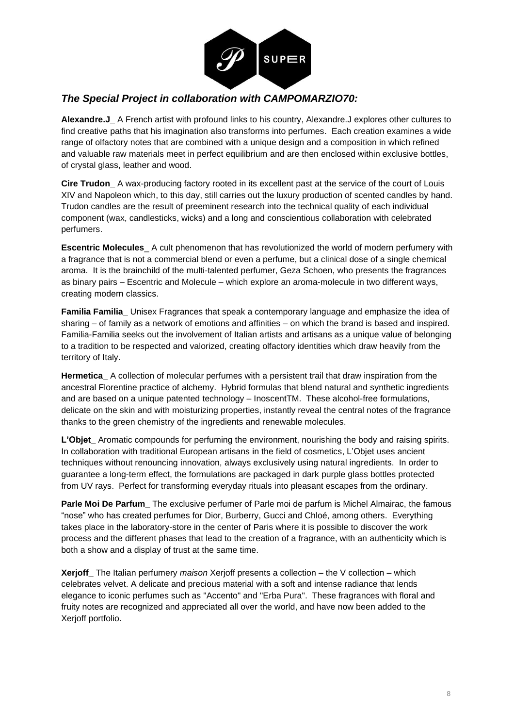

## *The Special Project in collaboration with CAMPOMARZIO70:*

**Alexandre.J\_** A French artist with profound links to his country, Alexandre.J explores other cultures to find creative paths that his imagination also transforms into perfumes. Each creation examines a wide range of olfactory notes that are combined with a unique design and a composition in which refined and valuable raw materials meet in perfect equilibrium and are then enclosed within exclusive bottles, of crystal glass, leather and wood.

**Cire Trudon\_** A wax-producing factory rooted in its excellent past at the service of the court of Louis XIV and Napoleon which, to this day, still carries out the luxury production of scented candles by hand. Trudon candles are the result of preeminent research into the technical quality of each individual component (wax, candlesticks, wicks) and a long and conscientious collaboration with celebrated perfumers.

**Escentric Molecules**\_ A cult phenomenon that has revolutionized the world of modern perfumery with a fragrance that is not a commercial blend or even a perfume, but a clinical dose of a single chemical aroma. It is the brainchild of the multi-talented perfumer, Geza Schoen, who presents the fragrances as binary pairs – Escentric and Molecule – which explore an aroma-molecule in two different ways, creating modern classics.

**Familia Familia\_** Unisex Fragrances that speak a contemporary language and emphasize the idea of sharing – of family as a network of emotions and affinities – on which the brand is based and inspired. Familia-Familia seeks out the involvement of Italian artists and artisans as a unique value of belonging to a tradition to be respected and valorized, creating olfactory identities which draw heavily from the territory of Italy.

**Hermetica\_** A collection of molecular perfumes with a persistent trail that draw inspiration from the ancestral Florentine practice of alchemy. Hybrid formulas that blend natural and synthetic ingredients and are based on a unique patented technology – InoscentTM. These alcohol-free formulations, delicate on the skin and with moisturizing properties, instantly reveal the central notes of the fragrance thanks to the green chemistry of the ingredients and renewable molecules.

**L'Objet\_** Aromatic compounds for perfuming the environment, nourishing the body and raising spirits. In collaboration with traditional European artisans in the field of cosmetics, L'Objet uses ancient techniques without renouncing innovation, always exclusively using natural ingredients. In order to guarantee a long-term effect, the formulations are packaged in dark purple glass bottles protected from UV rays. Perfect for transforming everyday rituals into pleasant escapes from the ordinary.

**Parle Moi De Parfum\_** The exclusive perfumer of Parle moi de parfum is Michel Almairac, the famous "nose" who has created perfumes for Dior, Burberry, Gucci and Chloé, among others. Everything takes place in the laboratory-store in the center of Paris where it is possible to discover the work process and the different phases that lead to the creation of a fragrance, with an authenticity which is both a show and a display of trust at the same time.

**Xerjoff\_** The Italian perfumery *maison* Xerjoff presents a collection – the V collection – which celebrates velvet. A delicate and precious material with a soft and intense radiance that lends elegance to iconic perfumes such as "Accento" and "Erba Pura". These fragrances with floral and fruity notes are recognized and appreciated all over the world, and have now been added to the Xerjoff portfolio.